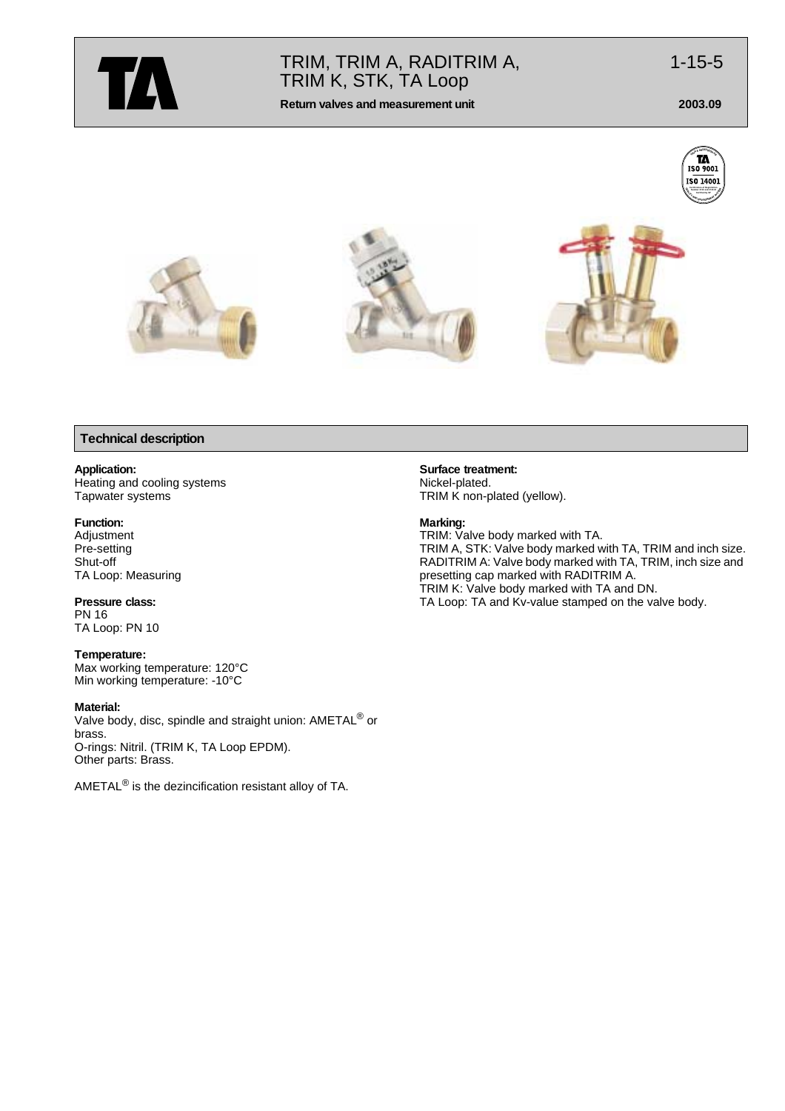

# TRIM, TRIM A, RADITRIM A, 1-15-5 TRIM K, STK, TA Loop

**Return valves and measurement unit 2003.09**



# **Technical description**

# **Application:**

Heating and cooling systems Tapwater systems

#### **Function:**

Adjustment Pre-setting Shut-off TA Loop: Measuring

**Pressure class:** PN 16 TA Loop: PN 10

**Temperature:** Max working temperature: 120°C Min working temperature: -10°C

#### **Material:**

Valve body, disc, spindle and straight union: AMETAL<sup>®</sup> or brass. O-rings: Nitril. (TRIM K, TA Loop EPDM). Other parts: Brass.

AMETAL® is the dezincification resistant alloy of TA.

**Surface treatment:** Nickel-plated. TRIM K non-plated (yellow).

#### **Marking:**

TRIM: Valve body marked with TA. TRIM A, STK: Valve body marked with TA, TRIM and inch size. RADITRIM A: Valve body marked with TA, TRIM, inch size and presetting cap marked with RADITRIM A. TRIM K: Valve body marked with TA and DN. TA Loop: TA and Kv-value stamped on the valve body.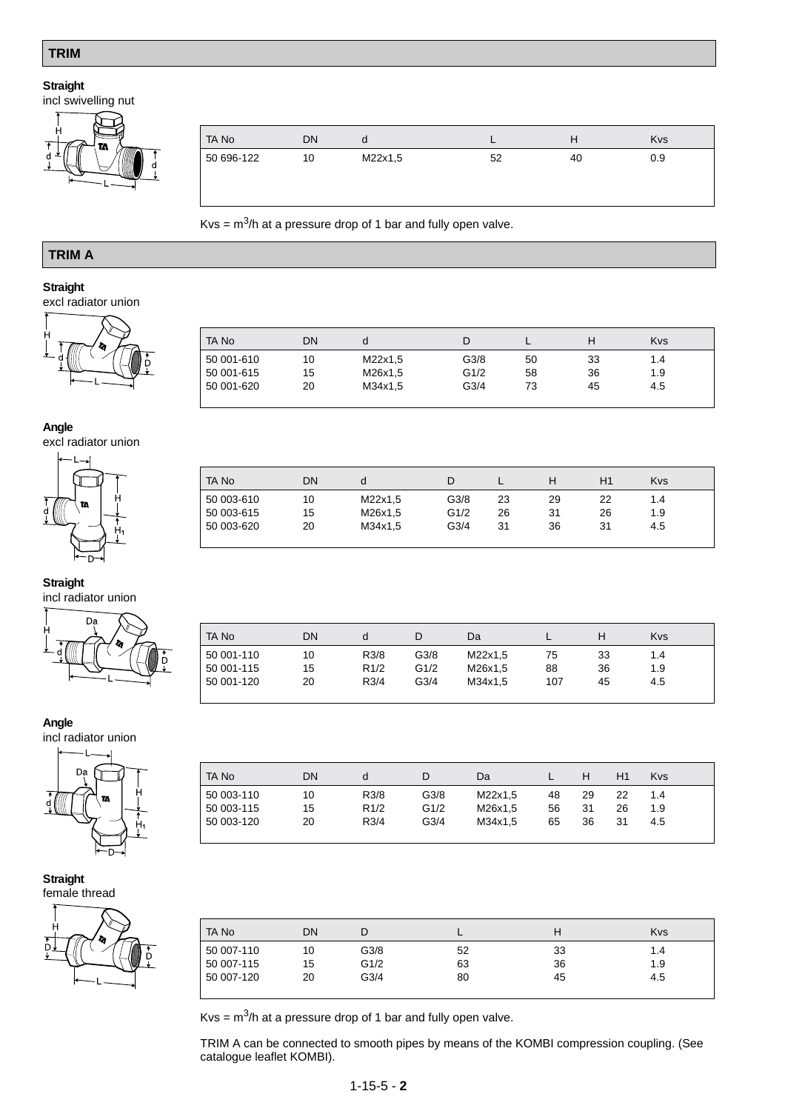# **TRIM**

# **Straight**

incl swivelling nut



| TA No      | DN | a       |    |    | <b>Kys</b> |
|------------|----|---------|----|----|------------|
| 50 696-122 | 10 | M22x1,5 | 52 | 40 | 0.9        |
|            |    |         |    |    |            |

 $Kvs = m<sup>3</sup>/h$  at a pressure drop of 1 bar and fully open valve.

# **TRIM A**

# **Straight**

excl radiator union



| TA No      | DN | a       |                  |    |    | <b>Kvs</b> |
|------------|----|---------|------------------|----|----|------------|
| 50 001-610 | 10 | M22x1,5 | G3/8             | 50 | 33 | 1.4        |
| 50 001-615 | 15 | M26x1,5 | G1/2             | 58 | 36 | 1.9        |
| 50 001-620 | 20 | M34x1,5 | G <sub>3/4</sub> | 73 | 45 | 4.5        |

TA No DN d D L H H1 Kvs 50 003-610 10 M22x1,5 G3/8 23 29 22 1.4 50 003-615 15 M26x1,5 G1/2 26 31 26 1.9

# **Angle**

excl radiator union



50 003-620

# **Straight**

incl radiator union



| TA No      | DN |      | D                | Da      |     | н  | <b>Kvs</b> |  |
|------------|----|------|------------------|---------|-----|----|------------|--|
|            |    |      |                  |         |     |    |            |  |
| 50 001-110 | 10 | R3/8 | G3/8             | M22x1,5 | 75  | 33 | 1.4        |  |
| 50 001-115 | 15 | R1/2 | G1/2             | M26x1,5 | 88  | 36 | 1.9        |  |
| 50 001-120 | 20 | R3/4 | G <sub>3/4</sub> | M34x1.5 | 107 | 45 | 4.5        |  |
|            |    |      |                  |         |     |    |            |  |

# **Angle**

incl radiator union



| TA No      | DΝ | d    |                  | Da      |    |    | H1 | <b>Kvs</b> |
|------------|----|------|------------------|---------|----|----|----|------------|
| 50 003-110 | 10 | R3/8 | G3/8             | M22x1.5 | 48 | 29 | 22 | 1.4        |
| 50 003-115 | 15 | R1/2 | G1/2             | M26x1.5 | 56 | 31 | 26 | 1.9        |
| 50 003-120 | 20 | R3/4 | G <sub>3/4</sub> | M34x1.5 | 65 | 36 | 31 | 4.5        |
|            |    |      |                  |         |    |    |    |            |

#### **Straight** female thread



| TA No      | DN |      |    |    | <b>Kvs</b> |
|------------|----|------|----|----|------------|
| 50 007-110 | 10 | G3/8 | 52 | 33 | 1.4        |
| 50 007-115 | 15 | G1/2 | 63 | 36 | 1.9        |
| 50 007-120 | 20 | G3/4 | 80 | 45 | 4.5        |

 $Kvs = m<sup>3</sup>/h$  at a pressure drop of 1 bar and fully open valve.

TRIM A can be connected to smooth pipes by means of the KOMBI compression coupling. (See catalogue leaflet KOMBI).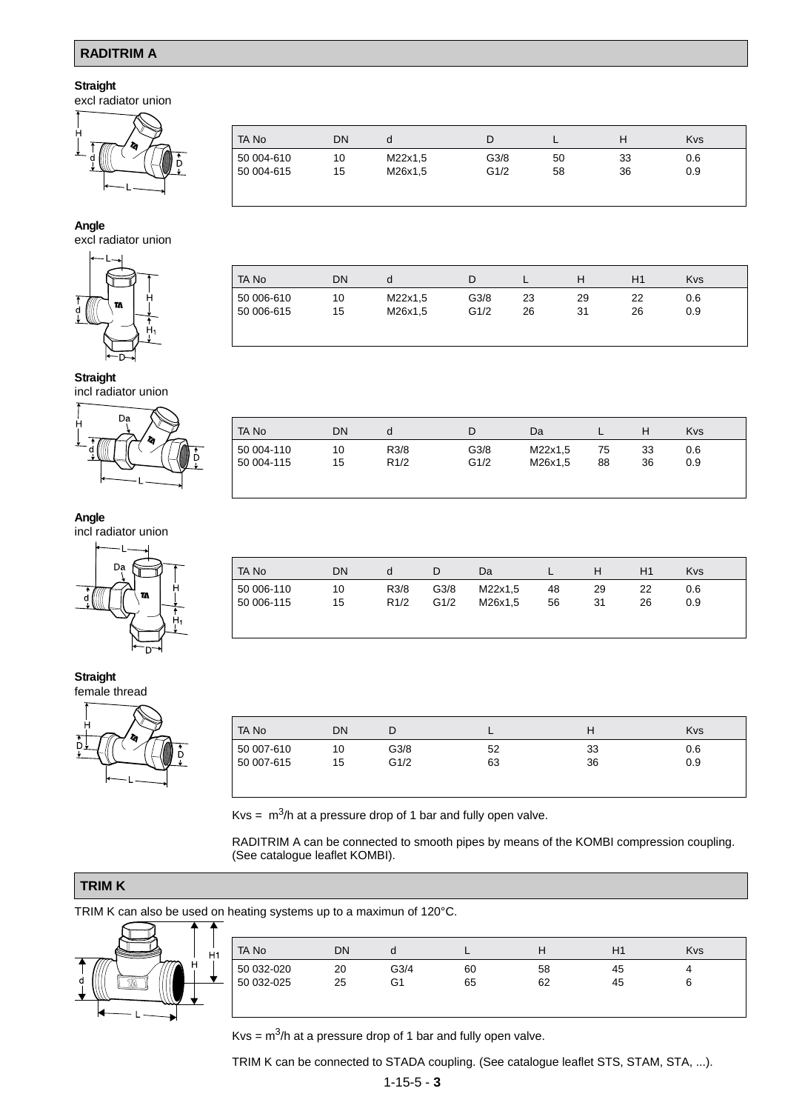# **RADITRIM A**

# **Straight**

excl radiator union



# TA No DN d D L H Kvs 50 004-610 10 M22x1,5 G3/8 50 33 0.6 50 004-615 15 M26x1,5 G1/2 58 36 0.9

TA No DN d D L H H1 Kvs 50 006-610 10 M22x1,5 G3/8 23 29 22 0.6 50 006-615 15 M26x1,5 G1/2 26 31 26 0.9

#### **Angle**

excl radiator union



#### **Straight**

incl radiator union



# **Angle**

incl radiator union



#### **Straight** female thread



| TA No |            | DN | d    |      | Da      |    |    | <b>Kys</b> |
|-------|------------|----|------|------|---------|----|----|------------|
|       | 50 004-110 | 10 | R3/8 | G3/8 | M22x1,5 | 75 | 33 | 0.6        |
|       | 50 004-115 | 15 | R1/2 | G1/2 | M26x1,5 | 88 | 36 | 0.9        |
|       |            |    |      |      |         |    |    |            |
|       |            |    |      |      |         |    |    |            |

| TA No      | DN | d    |      | Da      |    |    |    | <b>Kvs</b> |  |
|------------|----|------|------|---------|----|----|----|------------|--|
| 50 006-110 | 10 | R3/8 | G3/8 | M22x1,5 | 48 | 29 | 22 | 0.6        |  |
| 50 006-115 | 15 | R1/2 | G1/2 | M26x1.5 | 56 | 31 | 26 | 0.9        |  |
|            |    |      |      |         |    |    |    |            |  |
|            |    |      |      |         |    |    |    |            |  |

| TA No      | DN | L    |    | н  | <b>Kvs</b> |
|------------|----|------|----|----|------------|
| 50 007-610 | 10 | G3/8 | 52 | 33 | 0.6        |
| 50 007-615 | 15 | G1/2 | 63 | 36 | 0.9        |
|            |    |      |    |    |            |

Kvs =  $\text{m}^3$ /h at a pressure drop of 1 bar and fully open valve.

RADITRIM A can be connected to smooth pipes by means of the KOMBI compression coupling. (See catalogue leaflet KOMBI).

# **TRIM K**

TRIM K can also be used on heating systems up to a maximun of 120°C.



| TA No      | DN | a    |    | п  | H1 | Kvs |
|------------|----|------|----|----|----|-----|
| 50 032-020 | 20 | G3/4 | 60 | 58 | 45 |     |
| 50 032-025 | 25 | G1   | 65 | 62 | 45 | 6   |

Kvs =  $\text{m}^3$ /h at a pressure drop of 1 bar and fully open valve.

TRIM K can be connected to STADA coupling. (See catalogue leaflet STS, STAM, STA, ...).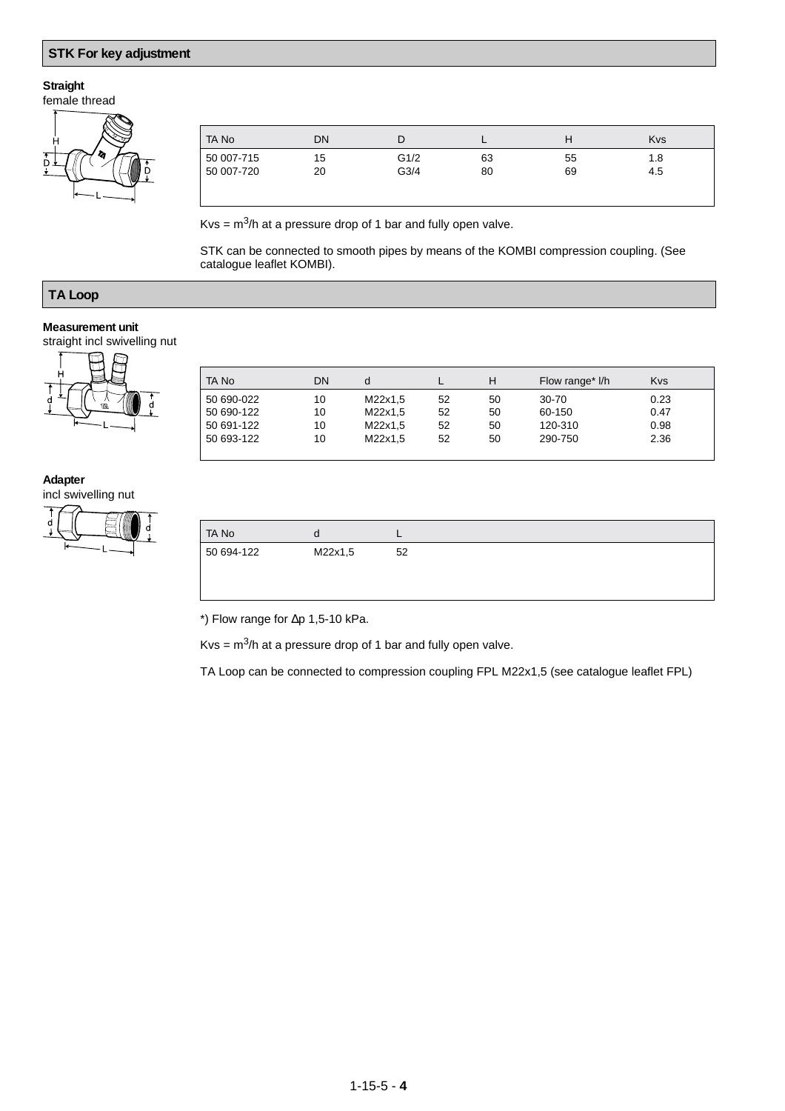# **STK For key adjustment**

# **Straight**

female thread



| TA No      | DN | D    |    |    | <b>Kvs</b> |
|------------|----|------|----|----|------------|
| 50 007-715 | 15 | G1/2 | 63 | 55 | 1.8        |
| 50 007-720 | 20 | G3/4 | 80 | 69 | 4.5        |
|            |    |      |    |    |            |
|            |    |      |    |    |            |

 $Kvs = m<sup>3</sup>/h$  at a pressure drop of 1 bar and fully open valve.

STK can be connected to smooth pipes by means of the KOMBI compression coupling. (See catalogue leaflet KOMBI).

# **TA Loop**

# **Measurement unit**

straight incl swivelling nut



| TA No      | DN | d       |    | н  | Flow range* I/h | <b>Kvs</b> |
|------------|----|---------|----|----|-----------------|------------|
| 50 690-022 | 10 | M22x1.5 | 52 | 50 | 30-70           | 0.23       |
| 50 690-122 | 10 | M22x1.5 | 52 | 50 | 60-150          | 0.47       |
| 50 691-122 | 10 | M22x1,5 | 52 | 50 | 120-310         | 0.98       |
| 50 693-122 | 10 | M22x1.5 | 52 | 50 | 290-750         | 2.36       |
|            |    |         |    |    |                 |            |

#### **Adapter**

incl swivelling nut



| <b>TANO</b> |         |    |
|-------------|---------|----|
| 50 694-122  | M22x1,5 | 52 |

\*) Flow range for ∆p 1,5-10 kPa.

 $Kvs = m<sup>3</sup>/h$  at a pressure drop of 1 bar and fully open valve.

TA Loop can be connected to compression coupling FPL M22x1,5 (see catalogue leaflet FPL)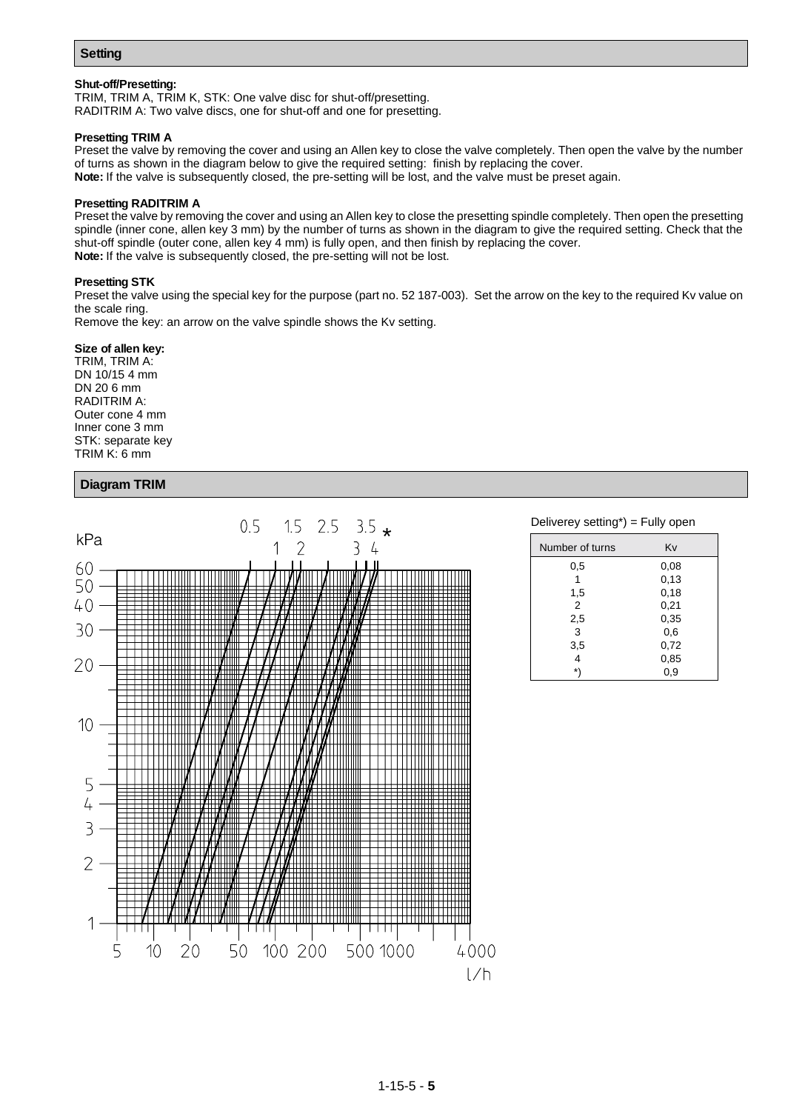# **Setting**

#### **Shut-off/Presetting:**

TRIM, TRIM A, TRIM K, STK: One valve disc for shut-off/presetting. RADITRIM A: Two valve discs, one for shut-off and one for presetting.

#### **Presetting TRIM A**

Preset the valve by removing the cover and using an Allen key to close the valve completely. Then open the valve by the number of turns as shown in the diagram below to give the required setting: finish by replacing the cover. **Note:** If the valve is subsequently closed, the pre-setting will be lost, and the valve must be preset again.

#### **Presetting RADITRIM A**

Preset the valve by removing the cover and using an Allen key to close the presetting spindle completely. Then open the presetting spindle (inner cone, allen key 3 mm) by the number of turns as shown in the diagram to give the required setting. Check that the shut-off spindle (outer cone, allen key 4 mm) is fully open, and then finish by replacing the cover. **Note:** If the valve is subsequently closed, the pre-setting will not be lost.

#### **Presetting STK**

Preset the valve using the special key for the purpose (part no. 52 187-003). Set the arrow on the key to the required Kv value on the scale ring.

Remove the key: an arrow on the valve spindle shows the Kv setting.

#### **Size of allen key:**

TRIM, TRIM A: DN 10/15 4 mm DN 20 6 mm RADITRIM A: Outer cone 4 mm Inner cone 3 mm STK: separate key TRIM K: 6 mm

# **Diagram TRIM**



| Number of turns | Kv   |
|-----------------|------|
| 0,5             | 0.08 |
| 1               | 0,13 |
| 1,5             | 0,18 |
| 2               | 0,21 |
| 2,5             | 0,35 |
| 3               | 0,6  |
| 3,5             | 0,72 |
| 4               | 0,85 |
| *\              | 0,9  |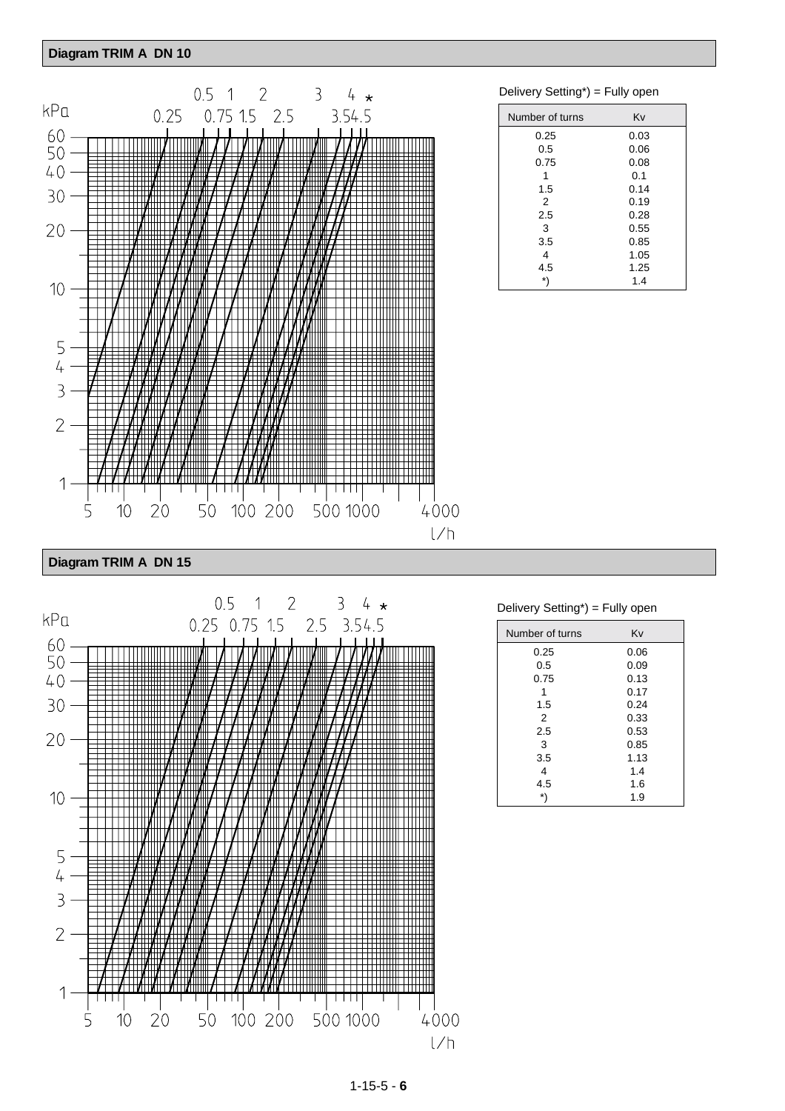# **Diagram TRIM A DN 10**



#### Delivery Setting\*) = Fully open

| Number of turns | Kv   |
|-----------------|------|
| 0.25            | 0.03 |
| 0.5             | 0.06 |
| 0.75            | 0.08 |
| 1               | 0.1  |
| 1.5             | 0.14 |
| 2               | 0.19 |
| 2.5             | 0.28 |
| 3               | 0.55 |
| 3.5             | 0.85 |
| 4               | 1.05 |
| 4.5             | 1.25 |
| *)              | 1.4  |
|                 |      |

# **Diagram TRIM A DN 15**



# Delivery Setting\*) = Fully open

| Number of turns | Kv   |
|-----------------|------|
| 0.25            | 0.06 |
| 0.5             | 0.09 |
| 0.75            | 0.13 |
|                 | 0.17 |
| 1.5             | 0.24 |
| 2               | 0.33 |
| 2.5             | 0.53 |
| 3               | 0.85 |
| 3.5             | 1.13 |
| 4               | 1.4  |
| 4.5             | 1.6  |
|                 | 1.9  |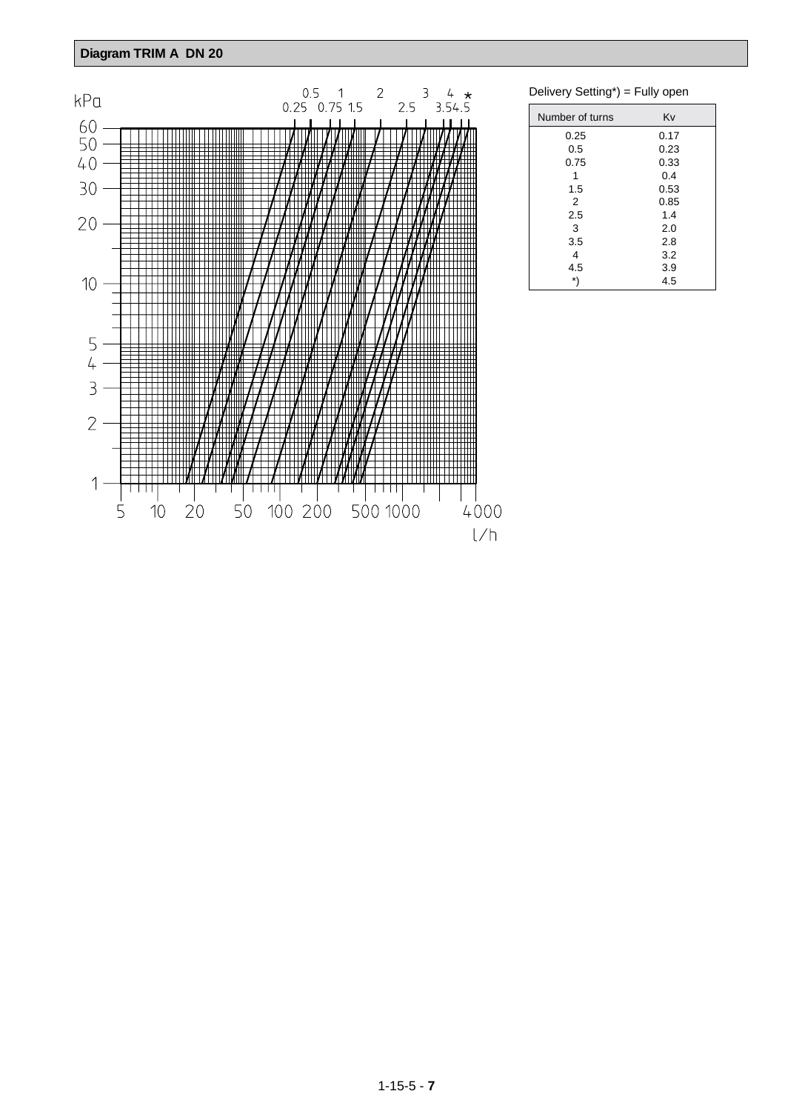# **Diagram TRIM A DN 20**



Delivery Setting\*) = Fully open

| Number of turns | Κv   |
|-----------------|------|
| 0.25            | 0.17 |
| 0.5             | 0.23 |
| 0.75            | 0.33 |
| 1               | 0.4  |
| 1.5             | 0.53 |
| 2               | 0.85 |
| 2.5             | 1.4  |
| 3               | 2.0  |
| 3.5             | 2.8  |
| 4               | 3.2  |
| 4.5             | 3.9  |
| *)              | 4.5  |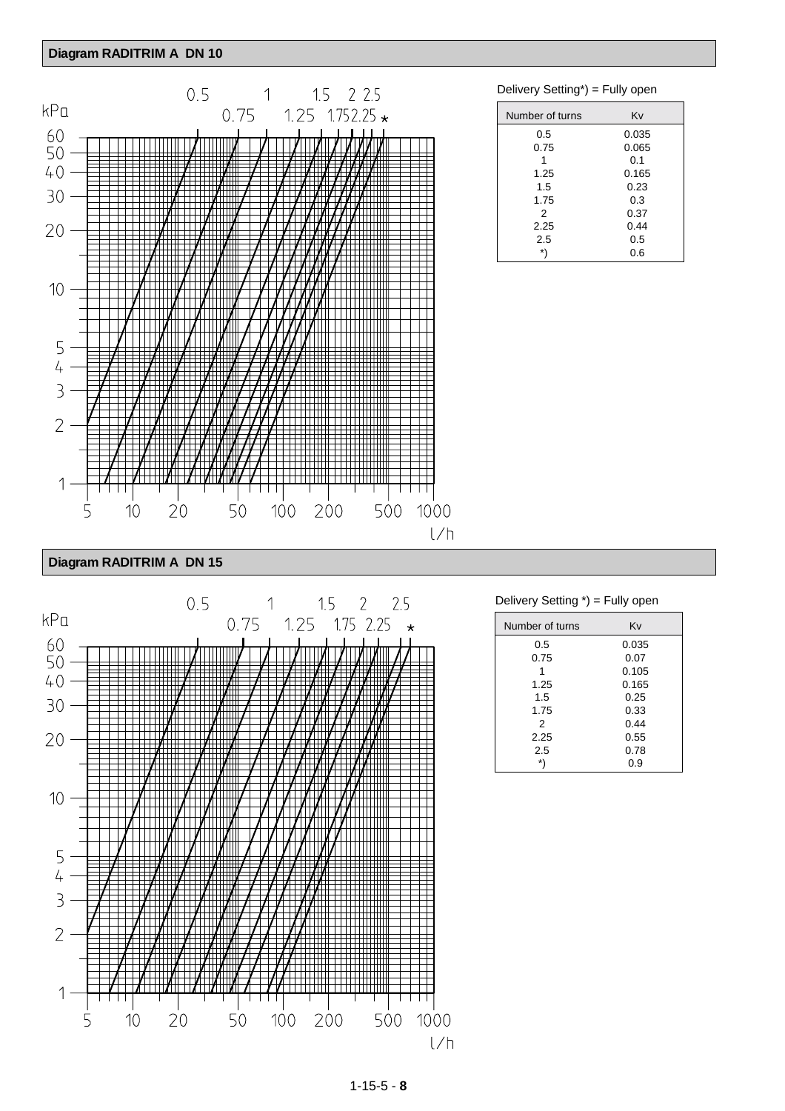# **Diagram RADITRIM A DN 10**



# Delivery Setting\*) = Fully open

| Kv    |
|-------|
| 0.035 |
| 0.065 |
| 0.1   |
| 0.165 |
| 0.23  |
| 0.3   |
| 0.37  |
| 0.44  |
| 0.5   |
| 0.6   |
|       |

| Diagram RADITRIM A DN 15 |  |  |
|--------------------------|--|--|
|--------------------------|--|--|



# Delivery Setting \*) = Fully open

| Number of turns | Kv    |
|-----------------|-------|
| 0.5             | 0.035 |
| 0.75            | 0.07  |
|                 | 0.105 |
| 1.25            | 0.165 |
| 1.5             | 0.25  |
| 1.75            | 0.33  |
| 2               | 0.44  |
| 2.25            | 0.55  |
| 2.5             | 0.78  |
| *)              | 0.9   |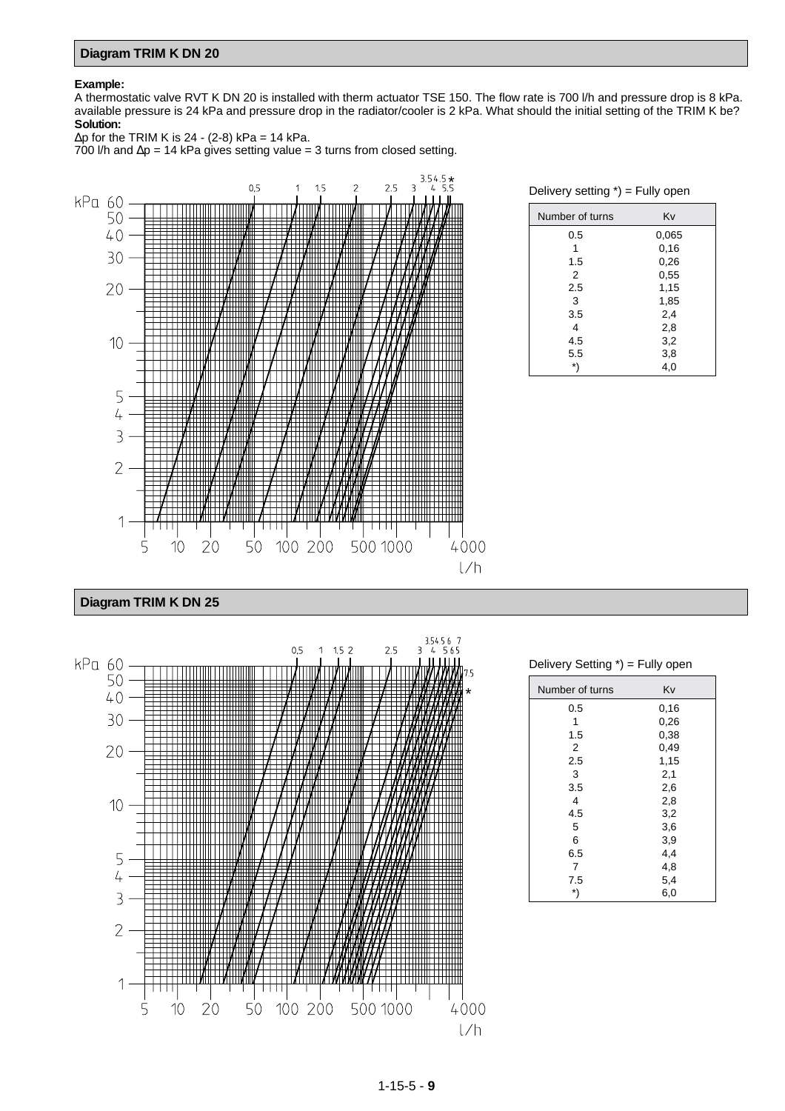# **Diagram TRIM K DN 20**

#### **Example:**

A thermostatic valve RVT K DN 20 is installed with therm actuator TSE 150. The flow rate is 700 l/h and pressure drop is 8 kPa. available pressure is 24 kPa and pressure drop in the radiator/cooler is 2 kPa. What should the initial setting of the TRIM K be? **Solution:**

 $\Delta p$  for the TRIM K is 24 - (2-8) kPa = 14 kPa. 700 l/h and ∆p = 14 kPa gives setting value = 3 turns from closed setting.



Delivery setting \*) = Fully open

| Number of turns | Kv    |
|-----------------|-------|
| 0.5             | 0,065 |
| 1               | 0,16  |
| 1.5             | 0,26  |
| 2               | 0,55  |
| 2.5             | 1,15  |
| 3               | 1,85  |
| 3.5             | 2,4   |
| 4               | 2,8   |
| 4.5             | 3,2   |
| 5.5             | 3,8   |
| *'              | 4,0   |

**Diagram TRIM K DN 25**



Delivery Setting \*) = Fully open

| Number of turns | Kv   |  |
|-----------------|------|--|
| 0.5             | 0,16 |  |
| 1               | 0,26 |  |
| 1.5             | 0,38 |  |
| $\overline{2}$  | 0,49 |  |
| 2.5             | 1,15 |  |
| 3               | 2,1  |  |
| 3.5             | 2,6  |  |
| 4               | 2,8  |  |
| 4.5             | 3,2  |  |
| 5               | 3,6  |  |
| 6               | 3,9  |  |
| 6.5             | 4,4  |  |
| 7               | 4,8  |  |
| 7.5             | 5,4  |  |
| *)              | 6,0  |  |